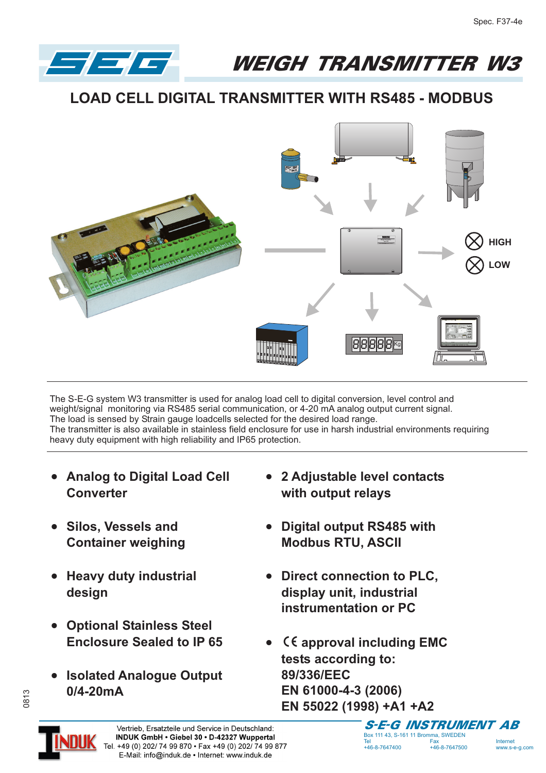WEIGH TRANSMITTER W3

## **LOAD CELL DIGITAL TRANSMITTER WITH RS485 - MODBUS**



The S-E-G system W3 transmitter is used for analog load cell to digital conversion, level control and weight/signal monitoring via RS485 serial communication, or 4-20 mA analog output current signal. The load is sensed by Strain gauge loadcells selected for the desired load range. The transmitter is also available in stainless field enclosure for use in harsh industrial environments requiring heavy duty equipment with high reliability and IP65 protection.

- **Analog to Digital Load Cell Converter**
- **•** Silos, Vessels and **Container weighing**

 $\left| - \right| =$ 

- **•** Heavy duty industrial **design**
- **Optional Stainless Steel Enclosure Sealed to IP 65**
- **Isolated Analogue Output 0/4-20mA**
- **2 Adjustable level contacts with output relays**
- **Digital output RS485 with Modbus RTU, ASCII**
- **Direct connection to PLC, display unit, industrial instrumentation or PC**
- **•** CE approval including EMC **tests according to: 89/336/EEC EN 61000-4-3 (2006) EN 55022 (1998) +A1 +A2**